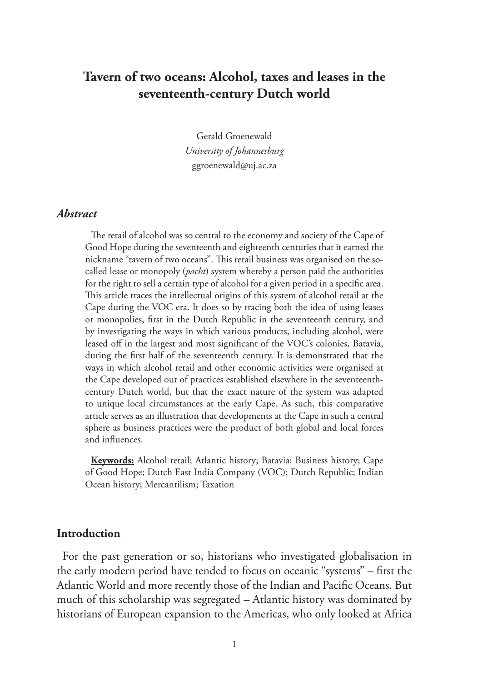# **Tavern of two oceans: Alcohol, taxes and leases in the seventeenth-century Dutch world**

Gerald Groenewald *University of Johannesburg* ggroenewald@uj.ac.za

#### *Abstract*

The retail of alcohol was so central to the economy and society of the Cape of Good Hope during the seventeenth and eighteenth centuries that it earned the nickname "tavern of two oceans". This retail business was organised on the socalled lease or monopoly (*pacht*) system whereby a person paid the authorities for the right to sell a certain type of alcohol for a given period in a specific area. This article traces the intellectual origins of this system of alcohol retail at the Cape during the VOC era. It does so by tracing both the idea of using leases or monopolies, first in the Dutch Republic in the seventeenth century, and by investigating the ways in which various products, including alcohol, were leased off in the largest and most significant of the VOC's colonies, Batavia, during the first half of the seventeenth century. It is demonstrated that the ways in which alcohol retail and other economic activities were organised at the Cape developed out of practices established elsewhere in the seventeenthcentury Dutch world, but that the exact nature of the system was adapted to unique local circumstances at the early Cape. As such, this comparative article serves as an illustration that developments at the Cape in such a central sphere as business practices were the product of both global and local forces and influences.

**Keywords:** Alcohol retail; Atlantic history; Batavia; Business history; Cape of Good Hope; Dutch East India Company (VOC); Dutch Republic; Indian Ocean history; Mercantilism; Taxation

### **Introduction**

For the past generation or so, historians who investigated globalisation in the early modern period have tended to focus on oceanic "systems" – first the Atlantic World and more recently those of the Indian and Pacific Oceans. But much of this scholarship was segregated – Atlantic history was dominated by historians of European expansion to the Americas, who only looked at Africa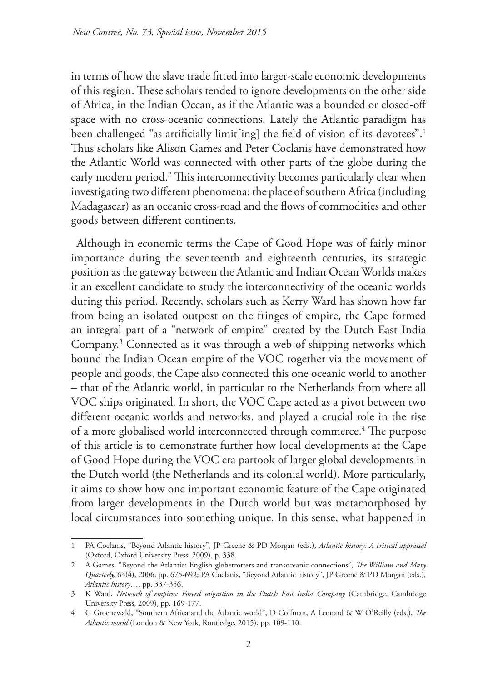in terms of how the slave trade fitted into larger-scale economic developments of this region. These scholars tended to ignore developments on the other side of Africa, in the Indian Ocean, as if the Atlantic was a bounded or closed-off space with no cross-oceanic connections. Lately the Atlantic paradigm has been challenged "as artificially limit[ing] the field of vision of its devotees".<sup>1</sup> Thus scholars like Alison Games and Peter Coclanis have demonstrated how the Atlantic World was connected with other parts of the globe during the early modern period.2 This interconnectivity becomes particularly clear when investigating two different phenomena: the place of southern Africa (including Madagascar) as an oceanic cross-road and the flows of commodities and other goods between different continents.

Although in economic terms the Cape of Good Hope was of fairly minor importance during the seventeenth and eighteenth centuries, its strategic position as the gateway between the Atlantic and Indian Ocean Worlds makes it an excellent candidate to study the interconnectivity of the oceanic worlds during this period. Recently, scholars such as Kerry Ward has shown how far from being an isolated outpost on the fringes of empire, the Cape formed an integral part of a "network of empire" created by the Dutch East India Company.3 Connected as it was through a web of shipping networks which bound the Indian Ocean empire of the VOC together via the movement of people and goods, the Cape also connected this one oceanic world to another – that of the Atlantic world, in particular to the Netherlands from where all VOC ships originated. In short, the VOC Cape acted as a pivot between two different oceanic worlds and networks, and played a crucial role in the rise of a more globalised world interconnected through commerce.<sup>4</sup> The purpose of this article is to demonstrate further how local developments at the Cape of Good Hope during the VOC era partook of larger global developments in the Dutch world (the Netherlands and its colonial world). More particularly, it aims to show how one important economic feature of the Cape originated from larger developments in the Dutch world but was metamorphosed by local circumstances into something unique. In this sense, what happened in

<sup>1</sup> PA Coclanis, "Beyond Atlantic history", JP Greene & PD Morgan (eds.), *Atlantic history: A critical appraisal* (Oxford, Oxford University Press, 2009), p. 338.

<sup>2</sup> A Games, "Beyond the Atlantic: English globetrotters and transoceanic connections", *The William and Mary Quarterly,* 63(4), 2006, pp. 675-692; PA Coclanis, "Beyond Atlantic history", JP Greene & PD Morgan (eds.), *Atlantic history…*, pp. 337-356.

<sup>3</sup> K Ward, *Network of empires: Forced migration in the Dutch East India Company* (Cambridge, Cambridge University Press, 2009), pp. 169-177.

<sup>4</sup> G Groenewald, "Southern Africa and the Atlantic world", D Coffman, A Leonard & W O'Reilly (eds.), *The Atlantic world* (London & New York, Routledge, 2015), pp. 109-110.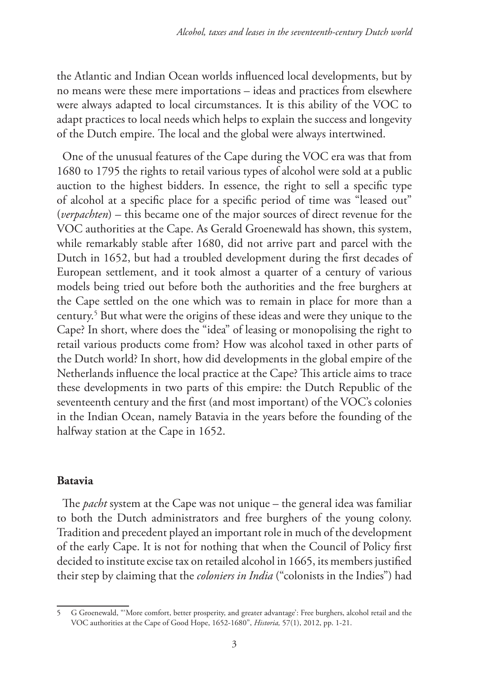the Atlantic and Indian Ocean worlds influenced local developments, but by no means were these mere importations – ideas and practices from elsewhere were always adapted to local circumstances. It is this ability of the VOC to adapt practices to local needs which helps to explain the success and longevity of the Dutch empire. The local and the global were always intertwined.

One of the unusual features of the Cape during the VOC era was that from 1680 to 1795 the rights to retail various types of alcohol were sold at a public auction to the highest bidders. In essence, the right to sell a specific type of alcohol at a specific place for a specific period of time was "leased out" (*verpachten*) – this became one of the major sources of direct revenue for the VOC authorities at the Cape. As Gerald Groenewald has shown, this system, while remarkably stable after 1680, did not arrive part and parcel with the Dutch in 1652, but had a troubled development during the first decades of European settlement, and it took almost a quarter of a century of various models being tried out before both the authorities and the free burghers at the Cape settled on the one which was to remain in place for more than a century.5 But what were the origins of these ideas and were they unique to the Cape? In short, where does the "idea" of leasing or monopolising the right to retail various products come from? How was alcohol taxed in other parts of the Dutch world? In short, how did developments in the global empire of the Netherlands influence the local practice at the Cape? This article aims to trace these developments in two parts of this empire: the Dutch Republic of the seventeenth century and the first (and most important) of the VOC's colonies in the Indian Ocean, namely Batavia in the years before the founding of the halfway station at the Cape in 1652.

## **Batavia**

The *pacht* system at the Cape was not unique – the general idea was familiar to both the Dutch administrators and free burghers of the young colony. Tradition and precedent played an important role in much of the development of the early Cape. It is not for nothing that when the Council of Policy first decided to institute excise tax on retailed alcohol in 1665, its members justified their step by claiming that the *coloniers in India* ("colonists in the Indies") had

<sup>5</sup> G Groenewald, "'More comfort, better prosperity, and greater advantage': Free burghers, alcohol retail and the VOC authorities at the Cape of Good Hope, 1652-1680", *Historia,* 57(1), 2012, pp. 1-21.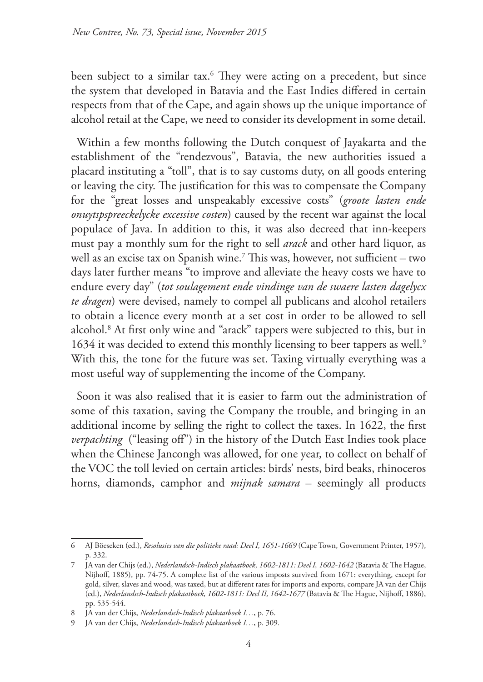been subject to a similar tax.6 They were acting on a precedent, but since the system that developed in Batavia and the East Indies differed in certain respects from that of the Cape, and again shows up the unique importance of alcohol retail at the Cape, we need to consider its development in some detail.

Within a few months following the Dutch conquest of Jayakarta and the establishment of the "rendezvous", Batavia, the new authorities issued a placard instituting a "toll", that is to say customs duty, on all goods entering or leaving the city. The justification for this was to compensate the Company for the "great losses and unspeakably excessive costs" (*groote lasten ende onuytspspreeckelycke excessive costen*) caused by the recent war against the local populace of Java. In addition to this, it was also decreed that inn-keepers must pay a monthly sum for the right to sell *arack* and other hard liquor, as well as an excise tax on Spanish wine.7 This was, however, not sufficient – two days later further means "to improve and alleviate the heavy costs we have to endure every day" (*tot soulagement ende vindinge van de swaere lasten dagelycx te dragen*) were devised, namely to compel all publicans and alcohol retailers to obtain a licence every month at a set cost in order to be allowed to sell alcohol.8 At first only wine and "arack" tappers were subjected to this, but in 1634 it was decided to extend this monthly licensing to beer tappers as well.<sup>9</sup> With this, the tone for the future was set. Taxing virtually everything was a most useful way of supplementing the income of the Company.

Soon it was also realised that it is easier to farm out the administration of some of this taxation, saving the Company the trouble, and bringing in an additional income by selling the right to collect the taxes. In 1622, the first *verpachting* ("leasing off") in the history of the Dutch East Indies took place when the Chinese Jancongh was allowed, for one year, to collect on behalf of the VOC the toll levied on certain articles: birds' nests, bird beaks, rhinoceros horns, diamonds, camphor and *mijnak samara* – seemingly all products

<sup>6</sup> AJ Böeseken (ed.), *Resolusies van die politieke raad: Deel I, 1651-1669* (Cape Town, Government Printer, 1957), p. 332.

<sup>7</sup> JA van der Chijs (ed.), *Nederlandsch-Indisch plakaatboek, 1602-1811: Deel I, 1602-1642* (Batavia & The Hague, Nijhoff, 1885), pp. 74-75. A complete list of the various imposts survived from 1671: everything, except for gold, silver, slaves and wood, was taxed, but at different rates for imports and exports, compare JA van der Chijs (ed.), *Nederlandsch-Indisch plakaatboek, 1602-1811: Deel II, 1642-1677* (Batavia & The Hague, Nijhoff, 1886), pp. 535-544.

<sup>8</sup> JA van der Chijs, *Nederlandsch-Indisch plakaatboek I…*, p. 76.

<sup>9</sup> JA van der Chijs, *Nederlandsch-Indisch plakaatboek I…*, p. 309.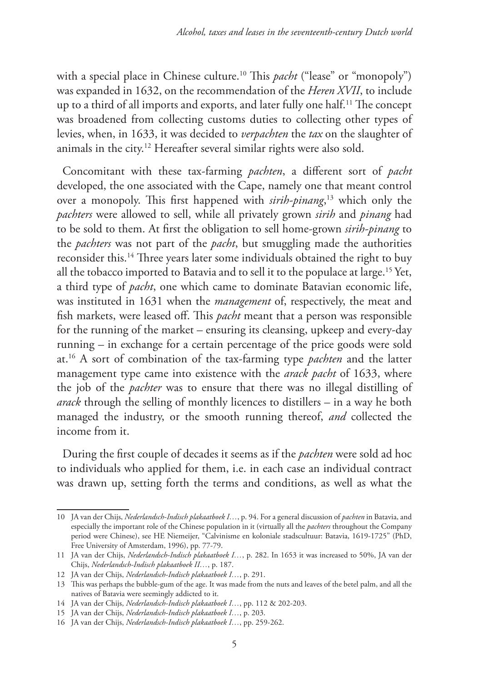with a special place in Chinese culture.<sup>10</sup> This *pacht* ("lease" or "monopoly") was expanded in 1632, on the recommendation of the *Heren XVII*, to include up to a third of all imports and exports, and later fully one half.11 The concept was broadened from collecting customs duties to collecting other types of levies, when, in 1633, it was decided to *verpachten* the *tax* on the slaughter of animals in the city.12 Hereafter several similar rights were also sold.

Concomitant with these tax-farming *pachten*, a different sort of *pacht* developed, the one associated with the Cape, namely one that meant control over a monopoly. This first happened with *sirih-pinang*, 13 which only the *pachters* were allowed to sell, while all privately grown *sirih* and *pinang* had to be sold to them. At first the obligation to sell home-grown *sirih-pinang* to the *pachters* was not part of the *pacht*, but smuggling made the authorities reconsider this.14 Three years later some individuals obtained the right to buy all the tobacco imported to Batavia and to sell it to the populace at large.15 Yet, a third type of *pacht*, one which came to dominate Batavian economic life, was instituted in 1631 when the *management* of, respectively, the meat and fish markets, were leased off. This *pacht* meant that a person was responsible for the running of the market – ensuring its cleansing, upkeep and every-day running – in exchange for a certain percentage of the price goods were sold at.16 A sort of combination of the tax-farming type *pachten* and the latter management type came into existence with the *arack pacht* of 1633, where the job of the *pachter* was to ensure that there was no illegal distilling of *arack* through the selling of monthly licences to distillers – in a way he both managed the industry, or the smooth running thereof, *and* collected the income from it.

During the first couple of decades it seems as if the *pachten* were sold ad hoc to individuals who applied for them, i.e. in each case an individual contract was drawn up, setting forth the terms and conditions, as well as what the

<sup>10</sup> JA van der Chijs, *Nederlandsch-Indisch plakaatboek I…*, p. 94. For a general discussion of *pachten* in Batavia, and especially the important role of the Chinese population in it (virtually all the *pachters* throughout the Company period were Chinese), see HE Niemeijer, "Calvinisme en koloniale stadscultuur: Batavia, 1619-1725" (PhD, Free University of Amsterdam, 1996), pp. 77-79.

<sup>11</sup> JA van der Chijs, *Nederlandsch-Indisch plakaatboek I…*, p. 282. In 1653 it was increased to 50%, JA van der Chijs, *Nederlandsch-Indisch plakaatboek II…*, p. 187.

<sup>12</sup> JA van der Chijs, *Nederlandsch-Indisch plakaatboek I…*, p. 291.

<sup>13</sup> This was perhaps the bubble-gum of the age. It was made from the nuts and leaves of the betel palm, and all the natives of Batavia were seemingly addicted to it.

<sup>14</sup> JA van der Chijs, *Nederlandsch-Indisch plakaatboek I…*, pp. 112 & 202-203.

<sup>15</sup> JA van der Chijs, *Nederlandsch-Indisch plakaatboek I…*, p. 203.

<sup>16</sup> JA van der Chijs, *Nederlandsch-Indisch plakaatboek I…*, pp. 259-262.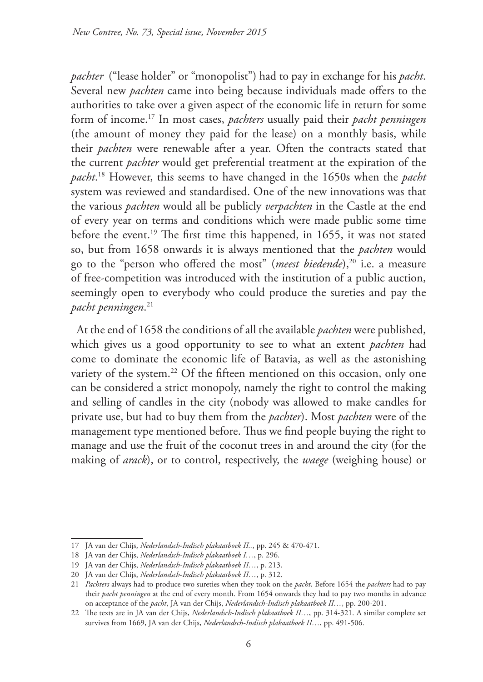*pachter* ("lease holder" or "monopolist") had to pay in exchange for his *pacht*. Several new *pachten* came into being because individuals made offers to the authorities to take over a given aspect of the economic life in return for some form of income.17 In most cases, *pachters* usually paid their *pacht penningen* (the amount of money they paid for the lease) on a monthly basis, while their *pachten* were renewable after a year. Often the contracts stated that the current *pachter* would get preferential treatment at the expiration of the *pacht*. 18 However, this seems to have changed in the 1650s when the *pacht* system was reviewed and standardised. One of the new innovations was that the various *pachten* would all be publicly *verpachten* in the Castle at the end of every year on terms and conditions which were made public some time before the event.<sup>19</sup> The first time this happened, in 1655, it was not stated so, but from 1658 onwards it is always mentioned that the *pachten* would go to the "person who offered the most" (*meest biedende*),<sup>20</sup> i.e. a measure of free-competition was introduced with the institution of a public auction, seemingly open to everybody who could produce the sureties and pay the *pacht penningen*. 21

At the end of 1658 the conditions of all the available *pachten* were published, which gives us a good opportunity to see to what an extent *pachten* had come to dominate the economic life of Batavia, as well as the astonishing variety of the system.<sup>22</sup> Of the fifteen mentioned on this occasion, only one can be considered a strict monopoly, namely the right to control the making and selling of candles in the city (nobody was allowed to make candles for private use, but had to buy them from the *pachter*). Most *pachten* were of the management type mentioned before. Thus we find people buying the right to manage and use the fruit of the coconut trees in and around the city (for the making of *arack*), or to control, respectively, the *waege* (weighing house) or

<sup>17</sup> JA van der Chijs, *Nederlandsch-Indisch plakaatboek II..*, pp. 245 & 470-471.

<sup>18</sup> JA van der Chijs, *Nederlandsch-Indisch plakaatboek I…*, p. 296.

<sup>19</sup> JA van der Chijs, *Nederlandsch-Indisch plakaatboek II…*, p. 213.

<sup>20</sup> JA van der Chijs, *Nederlandsch-Indisch plakaatboek II…*, p. 312.

<sup>21</sup> *Pachters* always had to produce two sureties when they took on the *pacht*. Before 1654 the *pachters* had to pay their *pacht penningen* at the end of every month. From 1654 onwards they had to pay two months in advance on acceptance of the *pacht*, JA van der Chijs, *Nederlandsch-Indisch plakaatboek II…*, pp. 200-201.

<sup>22</sup> The texts are in JA van der Chijs, *Nederlandsch-Indisch plakaatboek II…*, pp. 314-321. A similar complete set survives from 1669, JA van der Chijs, *Nederlandsch-Indisch plakaatboek II…*, pp. 491-506.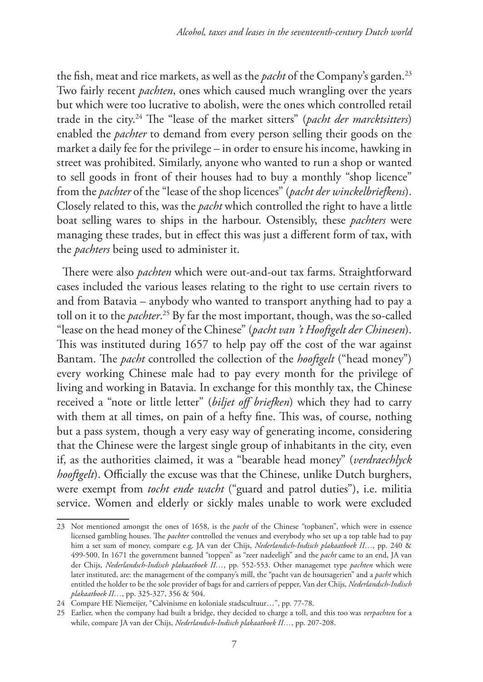the fish, meat and rice markets, as well as the *pacht* of the Company's garden.<sup>23</sup> Two fairly recent *pachten*, ones which caused much wrangling over the years but which were too lucrative to abolish, were the ones which controlled retail trade in the city.24 The "lease of the market sitters" (*pacht der marcktsitters*) enabled the *pachter* to demand from every person selling their goods on the market a daily fee for the privilege – in order to ensure his income, hawking in street was prohibited. Similarly, anyone who wanted to run a shop or wanted to sell goods in front of their houses had to buy a monthly "shop licence" from the *pachter* of the "lease of the shop licences" (*pacht der winckelbriefkens*). Closely related to this, was the *pacht* which controlled the right to have a little boat selling wares to ships in the harbour. Ostensibly, these *pachters* were managing these trades, but in effect this was just a different form of tax, with the *pachters* being used to administer it.

There were also *pachten* which were out-and-out tax farms. Straightforward cases included the various leases relating to the right to use certain rivers to and from Batavia – anybody who wanted to transport anything had to pay a toll on it to the *pachter*. 25 By far the most important, though, was the so-called "lease on the head money of the Chinese" (*pacht van 't Hooftgelt der Chinesen*). This was instituted during 1657 to help pay off the cost of the war against Bantam. The *pacht* controlled the collection of the *hooftgelt* ("head money") every working Chinese male had to pay every month for the privilege of living and working in Batavia. In exchange for this monthly tax, the Chinese received a "note or little letter" (*biljet off briefken*) which they had to carry with them at all times, on pain of a hefty fine. This was, of course, nothing but a pass system, though a very easy way of generating income, considering that the Chinese were the largest single group of inhabitants in the city, even if, as the authorities claimed, it was a "bearable head money" (*verdraechlyck hooftgelt*). Officially the excuse was that the Chinese, unlike Dutch burghers, were exempt from *tocht ende wacht* ("guard and patrol duties"), i.e. militia service. Women and elderly or sickly males unable to work were excluded

<sup>23</sup> Not mentioned amongst the ones of 1658, is the *pacht* of the Chinese "topbanen", which were in essence licensed gambling houses. The *pachter* controlled the venues and everybody who set up a top table had to pay him a set sum of money, compare e.g. JA van der Chijs, *Nederlandsch-Indisch plakaatboek II…*, pp. 240 & 499-500. In 1671 the government banned "toppen" as "zeer nadeeligh" and the *pacht* came to an end, JA van der Chijs, *Nederlandsch-Indisch plakaatboek II…*, pp. 552-553. Other managemet type *pachten* which were later instituted, are: the management of the company's mill, the "pacht van de houtsagerien" and a *pacht* which entitled the holder to be the sole provider of bags for and carriers of pepper, Van der Chijs, *Nederlandsch-Indisch plakaatboek II…*, pp. 325-327, 356 & 504.

<sup>24</sup> Compare HE Niemeijer, "Calvinisme en koloniale stadscultuur…", pp. 77-78.

<sup>25</sup> Earlier, when the company had built a bridge, they decided to charge a toll, and this too was *verpachten* for a while, compare JA van der Chijs, *Nederlandsch-Indisch plakaatboek II…*, pp. 207-208.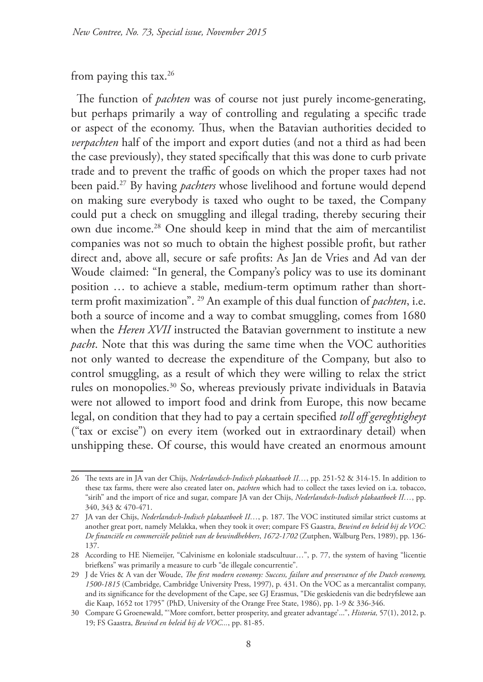#### from paying this tax. $26$

The function of *pachten* was of course not just purely income-generating, but perhaps primarily a way of controlling and regulating a specific trade or aspect of the economy. Thus, when the Batavian authorities decided to *verpachten* half of the import and export duties (and not a third as had been the case previously), they stated specifically that this was done to curb private trade and to prevent the traffic of goods on which the proper taxes had not been paid.27 By having *pachters* whose livelihood and fortune would depend on making sure everybody is taxed who ought to be taxed, the Company could put a check on smuggling and illegal trading, thereby securing their own due income.28 One should keep in mind that the aim of mercantilist companies was not so much to obtain the highest possible profit, but rather direct and, above all, secure or safe profits: As Jan de Vries and Ad van der Woude claimed: "In general, the Company's policy was to use its dominant position … to achieve a stable, medium-term optimum rather than shortterm profit maximization". 29 An example of this dual function of *pachten*, i.e. both a source of income and a way to combat smuggling, comes from 1680 when the *Heren XVII* instructed the Batavian government to institute a new *pacht*. Note that this was during the same time when the VOC authorities not only wanted to decrease the expenditure of the Company, but also to control smuggling, as a result of which they were willing to relax the strict rules on monopolies.30 So, whereas previously private individuals in Batavia were not allowed to import food and drink from Europe, this now became legal, on condition that they had to pay a certain specified *toll off gereghtigheyt*  ("tax or excise") on every item (worked out in extraordinary detail) when unshipping these. Of course, this would have created an enormous amount

<sup>26</sup> The texts are in JA van der Chijs, *Nederlandsch-Indisch plakaatboek II…*, pp. 251-52 & 314-15. In addition to these tax farms, there were also created later on, *pachten* which had to collect the taxes levied on i.a. tobacco, "sirih" and the import of rice and sugar, compare JA van der Chijs, *Nederlandsch-Indisch plakaatboek II…*, pp. 340, 343 & 470-471.

<sup>27</sup> JA van der Chijs, *Nederlandsch-Indisch plakaatboek II…*, p. 187. The VOC instituted similar strict customs at another great port, namely Melakka, when they took it over; compare FS Gaastra, *Bewind en beleid bij de VOC: De financiële en commerciële politiek van de bewindhebbers*, *1672-1702* (Zutphen, Walburg Pers, 1989), pp. 136- 137.

<sup>28</sup> According to HE Niemeijer, "Calvinisme en koloniale stadscultuur…", p. 77, the system of having "licentie briefkens" was primarily a measure to curb "de illegale concurrentie".

<sup>29</sup> J de Vries & A van der Woude, *The first modern economy: Success, failure and preservance of the Dutch economy, 1500-1815* (Cambridge, Cambridge University Press, 1997), p. 431. On the VOC as a mercantalist company, and its significance for the development of the Cape, see GJ Erasmus, "Die geskiedenis van die bedryfslewe aan die Kaap, 1652 tot 1795" (PhD, University of the Orange Free State, 1986), pp. 1-9 & 336-346.

<sup>30</sup> Compare G Groenewald, "'More comfort, better prosperity, and greater advantage'...", *Historia,* 57(1), 2012, p. 19; FS Gaastra, *Bewind en beleid bij de VOC...*, pp. 81-85.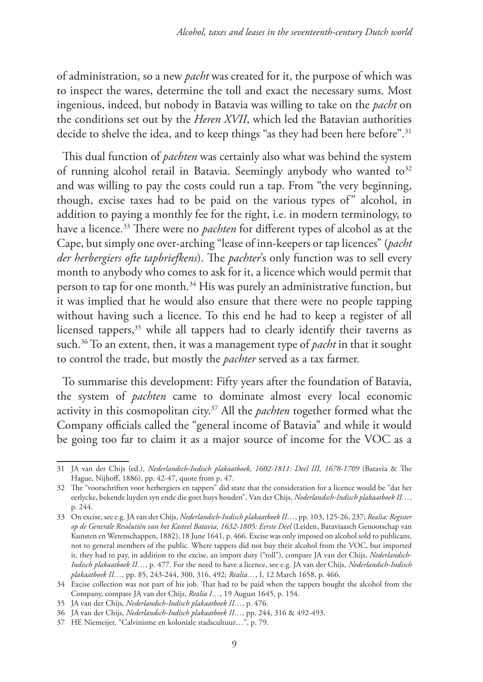of administration, so a new *pacht* was created for it, the purpose of which was to inspect the wares, determine the toll and exact the necessary sums. Most ingenious, indeed, but nobody in Batavia was willing to take on the *pacht* on the conditions set out by the *Heren XVII*, which led the Batavian authorities decide to shelve the idea, and to keep things "as they had been here before".<sup>31</sup>

This dual function of *pachten* was certainly also what was behind the system of running alcohol retail in Batavia. Seemingly anybody who wanted to<sup>32</sup> and was willing to pay the costs could run a tap. From "the very beginning, though, excise taxes had to be paid on the various types of" alcohol, in addition to paying a monthly fee for the right, i.e. in modern terminology, to have a licence.33 There were no *pachten* for different types of alcohol as at the Cape, but simply one over-arching "lease of inn-keepers or tap licences" (*pacht der herbergiers ofte tapbriefkens*). The *pachter*'s only function was to sell every month to anybody who comes to ask for it, a licence which would permit that person to tap for one month.<sup>34</sup> His was purely an administrative function, but it was implied that he would also ensure that there were no people tapping without having such a licence. To this end he had to keep a register of all licensed tappers,<sup>35</sup> while all tappers had to clearly identify their taverns as such.36 To an extent, then, it was a management type of *pacht* in that it sought to control the trade, but mostly the *pachter* served as a tax farmer.

To summarise this development: Fifty years after the foundation of Batavia, the system of *pachten* came to dominate almost every local economic activity in this cosmopolitan city.37 All the *pachten* together formed what the Company officials called the "general income of Batavia" and while it would be going too far to claim it as a major source of income for the VOC as a

<sup>31</sup> JA van der Chijs (ed.), *Nederlandsch-Indisch plakaatboek, 1602-1811: Deel III, 1678-1709* (Batavia & The Hague, Nijhoff, 1886), pp. 42-47, quote from p. 47.

<sup>32</sup> The "voorschriften voor herbergiers en tappers" did state that the consideration for a licence would be "dat het eerlycke, bekende luyden syn ende die goet huys houden", Van der Chijs, *Nederlandsch-Indisch plakaatboek II…*, p. 244.

<sup>33</sup> On excise, see e.g. JA van der Chijs, *Nederlandsch-Indisch plakaatboek II…*, pp. 103, 125-26, 237; *Realia: Register op de Generale Resolutiën van het Kasteel Batavia, 1632-1805: Eerste Deel* (Leiden, Bataviaasch Genootschap van Kunsten en Wetenschappen, 1882), 18 June 1641, p. 466. Excise was only imposed on alcohol sold to publicans, not to general members of the public. Where tappers did not buy their alcohol from the VOC, but imported it, they had to pay, in addition to the excise, an import duty ("toll"), compare JA van der Chijs, *Nederlandsch-Indisch plakaatboek II…*, p. 477. For the need to have a licence, see e.g. JA van der Chijs, *Nederlandsch-Indisch plakaatboek II…*, pp. 85, 243-244, 300, 316, 492; *Realia…*, I, 12 March 1658, p. 466.

<sup>34</sup> Excise collection was not part of his job. That had to be paid when the tappers bought the alcohol from the Company, compare JA van der Chijs, *Realia I…*, 19 August 1645, p. 154.

<sup>35</sup> JA van der Chijs, *Nederlandsch-Indisch plakaatboek II…*, p. 476.

<sup>36</sup> JA van der Chijs, *Nederlandsch-Indisch plakaatboek II…*, pp. 244, 316 & 492-493.

<sup>37</sup> HE Niemeijer, "Calvinisme en koloniale stadscultuur…", p. 79.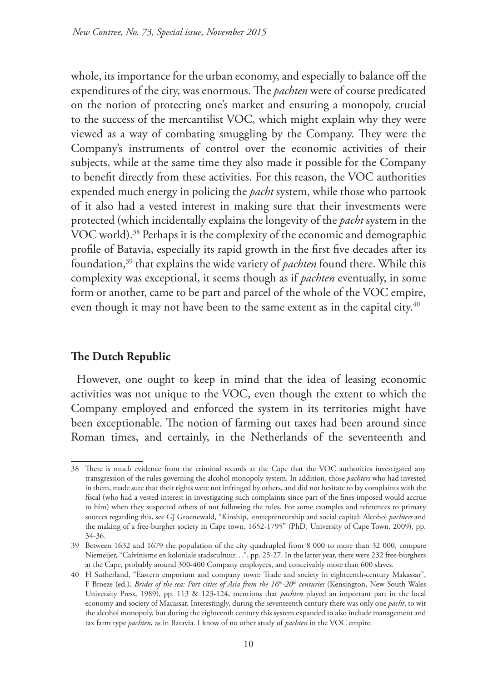whole, its importance for the urban economy, and especially to balance off the expenditures of the city, was enormous. The *pachten* were of course predicated on the notion of protecting one's market and ensuring a monopoly, crucial to the success of the mercantilist VOC, which might explain why they were viewed as a way of combating smuggling by the Company. They were the Company's instruments of control over the economic activities of their subjects, while at the same time they also made it possible for the Company to benefit directly from these activities. For this reason, the VOC authorities expended much energy in policing the *pacht* system, while those who partook of it also had a vested interest in making sure that their investments were protected (which incidentally explains the longevity of the *pacht* system in the VOC world).<sup>38</sup> Perhaps it is the complexity of the economic and demographic profile of Batavia, especially its rapid growth in the first five decades after its foundation,39 that explains the wide variety of *pachten* found there. While this complexity was exceptional, it seems though as if *pachten* eventually, in some form or another, came to be part and parcel of the whole of the VOC empire, even though it may not have been to the same extent as in the capital city.<sup>40</sup>

## **The Dutch Republic**

However, one ought to keep in mind that the idea of leasing economic activities was not unique to the VOC, even though the extent to which the Company employed and enforced the system in its territories might have been exceptionable. The notion of farming out taxes had been around since Roman times, and certainly, in the Netherlands of the seventeenth and

<sup>38</sup> There is much evidence from the criminal records at the Cape that the VOC authorities investigated any transgression of the rules governing the alcohol monopoly system. In addition, those *pachters* who had invested in them, made sure that their rights were not infringed by others, and did not hesitate to lay complaints with the fiscal (who had a vested interest in investigating such complaints since part of the fines imposed would accrue to him) when they suspected others of not following the rules. For some examples and references to primary sources regarding this, see GJ Groenewald, "Kinship, entrepreneurship and social capital: Alcohol *pachters* and the making of a free-burgher society in Cape town, 1652-1795" (PhD, University of Cape Town, 2009), pp. 34-36.

<sup>39</sup> Between 1632 and 1679 the population of the city quadrupled from 8 000 to more than 32 000, compare Niemeijer, "Calvinisme en koloniale stadscultuur…", pp. 25-27. In the latter year, there were 232 free-burghers at the Cape, probably around 300-400 Company employees, and conceivably more than 600 slaves.

<sup>40</sup> H Sutherland, "Eastern emporium and company town: Trade and society in eighteenth-century Makassar", F Broeze (ed.), *Brides of the sea: Port cities of Asia from the 16th-20th centuries* (Kensington, New South Wales University Press, 1989), pp. 113 & 123-124, mentions that *pachten* played an important part in the local economy and society of Macassar. Interestingly, during the seventeenth century there was only one *pacht*, to wit the alcohol monopoly, but during the eighteenth century this system expanded to also include management and tax farm type *pachten*, as in Batavia. I know of no other study of *pachten* in the VOC empire.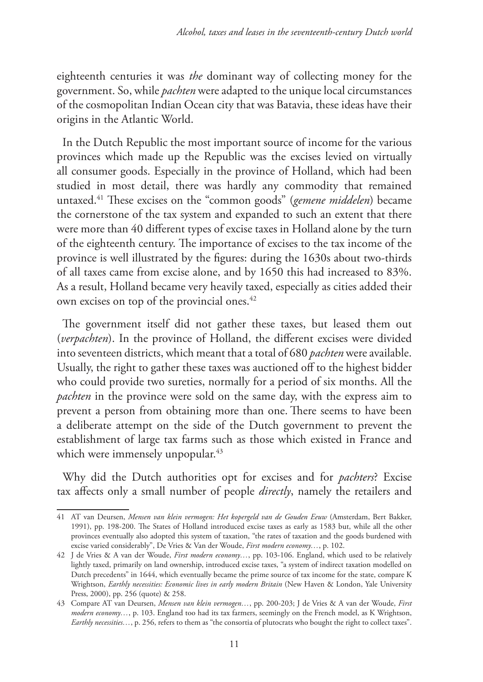eighteenth centuries it was *the* dominant way of collecting money for the government. So, while *pachten* were adapted to the unique local circumstances of the cosmopolitan Indian Ocean city that was Batavia, these ideas have their origins in the Atlantic World.

In the Dutch Republic the most important source of income for the various provinces which made up the Republic was the excises levied on virtually all consumer goods. Especially in the province of Holland, which had been studied in most detail, there was hardly any commodity that remained untaxed.41 These excises on the "common goods" (*gemene middelen*) became the cornerstone of the tax system and expanded to such an extent that there were more than 40 different types of excise taxes in Holland alone by the turn of the eighteenth century. The importance of excises to the tax income of the province is well illustrated by the figures: during the 1630s about two-thirds of all taxes came from excise alone, and by 1650 this had increased to 83%. As a result, Holland became very heavily taxed, especially as cities added their own excises on top of the provincial ones.42

The government itself did not gather these taxes, but leased them out (*verpachten*). In the province of Holland, the different excises were divided into seventeen districts, which meant that a total of 680 *pachten* were available. Usually, the right to gather these taxes was auctioned off to the highest bidder who could provide two sureties, normally for a period of six months. All the *pachten* in the province were sold on the same day, with the express aim to prevent a person from obtaining more than one. There seems to have been a deliberate attempt on the side of the Dutch government to prevent the establishment of large tax farms such as those which existed in France and which were immensely unpopular.<sup>43</sup>

Why did the Dutch authorities opt for excises and for *pachters*? Excise tax affects only a small number of people *directly*, namely the retailers and

<sup>41</sup> AT van Deursen, *Mensen van klein vermogen: Het kopergeld van de Gouden Eeuw* (Amsterdam, Bert Bakker, 1991), pp. 198-200. The States of Holland introduced excise taxes as early as 1583 but, while all the other provinces eventually also adopted this system of taxation, "the rates of taxation and the goods burdened with excise varied considerably", De Vries & Van der Woude, *First modern economy…*, p. 102.

<sup>42</sup> J de Vries & A van der Woude, *First modern economy…*, pp. 103-106. England, which used to be relatively lightly taxed, primarily on land ownership, introduced excise taxes, "a system of indirect taxation modelled on Dutch precedents" in 1644, which eventually became the prime source of tax income for the state, compare K Wrightson, *Earthly necessities: Economic lives in early modern Britain* (New Haven & London, Yale University Press, 2000), pp. 256 (quote) & 258.

<sup>43</sup> Compare AT van Deursen, *Mensen van klein vermogen…*, pp. 200-203; J de Vries & A van der Woude, *First modern economy…*, p. 103. England too had its tax farmers, seemingly on the French model, as K Wrightson, *Earthly necessities…*, p. 256, refers to them as "the consortia of plutocrats who bought the right to collect taxes".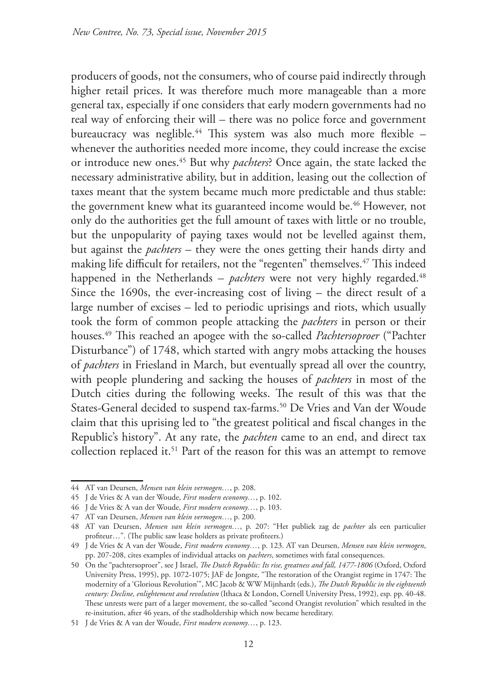producers of goods, not the consumers, who of course paid indirectly through higher retail prices. It was therefore much more manageable than a more general tax, especially if one considers that early modern governments had no real way of enforcing their will – there was no police force and government bureaucracy was neglible.<sup>44</sup> This system was also much more flexible whenever the authorities needed more income, they could increase the excise or introduce new ones.45 But why *pachters*? Once again, the state lacked the necessary administrative ability, but in addition, leasing out the collection of taxes meant that the system became much more predictable and thus stable: the government knew what its guaranteed income would be.<sup>46</sup> However, not only do the authorities get the full amount of taxes with little or no trouble, but the unpopularity of paying taxes would not be levelled against them, but against the *pachters* – they were the ones getting their hands dirty and making life difficult for retailers, not the "regenten" themselves.47 This indeed happened in the Netherlands – *pachters* were not very highly regarded.<sup>48</sup> Since the 1690s, the ever-increasing cost of living – the direct result of a large number of excises – led to periodic uprisings and riots, which usually took the form of common people attacking the *pachters* in person or their houses.49 This reached an apogee with the so-called *Pachtersoproer* ("Pachter Disturbance") of 1748, which started with angry mobs attacking the houses of *pachters* in Friesland in March, but eventually spread all over the country, with people plundering and sacking the houses of *pachters* in most of the Dutch cities during the following weeks. The result of this was that the States-General decided to suspend tax-farms.<sup>50</sup> De Vries and Van der Woude claim that this uprising led to "the greatest political and fiscal changes in the Republic's history". At any rate, the *pachten* came to an end, and direct tax collection replaced it.<sup>51</sup> Part of the reason for this was an attempt to remove

<sup>44</sup> AT van Deursen, *Mensen van klein vermogen…*, p. 208.

<sup>45</sup> J de Vries & A van der Woude, *First modern economy…*, p. 102.

<sup>46</sup> J de Vries & A van der Woude, *First modern economy…*, p. 103.

<sup>47</sup> AT van Deursen, *Mensen van klein vermogen…*, p. 200.

<sup>48</sup> AT van Deursen, *Mensen van klein vermogen…*, p. 207: "Het publiek zag de *pachter* als een particulier profiteur…". (The public saw lease holders as private profiteers.)

<sup>49</sup> J de Vries & A van der Woude, *First modern economy…*, p. 123. AT van Deursen, *Mensen van klein vermogen*, pp. 207-208, cites examples of individual attacks on *pachters*, sometimes with fatal consequences.

<sup>50</sup> On the "pachtersoproer", see J Israel, *The Dutch Republic: Its rise, greatness and fall, 1477-1806* (Oxford, Oxford University Press, 1995), pp. 1072-1075; JAF de Jongste, "The restoration of the Orangist regime in 1747: The modernity of a 'Glorious Revolution'", MC Jacob & WW Mijnhardt (eds.), *The Dutch Republic in the eighteenth century: Decline, enlightement and revolution* (Ithaca & London, Cornell University Press, 1992), esp. pp. 40-48. These unrests were part of a larger movement, the so-called "second Orangist revolution" which resulted in the re-insitution, after 46 years, of the stadholdership which now became hereditary.

<sup>51</sup> J de Vries & A van der Woude, *First modern economy…*, p. 123.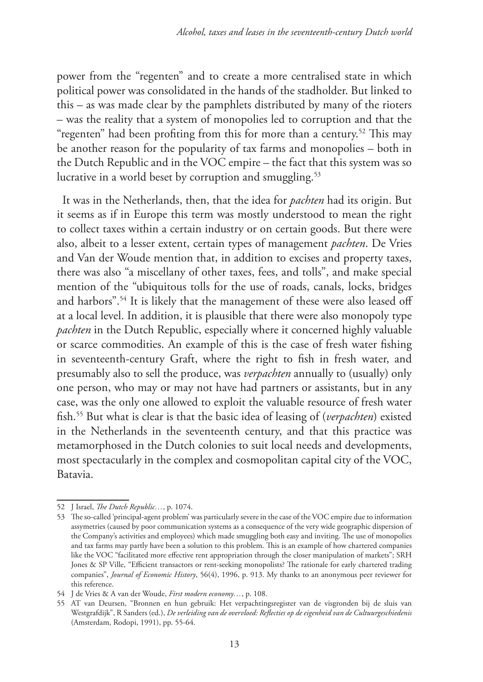power from the "regenten" and to create a more centralised state in which political power was consolidated in the hands of the stadholder. But linked to this – as was made clear by the pamphlets distributed by many of the rioters – was the reality that a system of monopolies led to corruption and that the "regenten" had been profiting from this for more than a century.<sup>52</sup> This may be another reason for the popularity of tax farms and monopolies – both in the Dutch Republic and in the VOC empire – the fact that this system was so lucrative in a world beset by corruption and smuggling.<sup>53</sup>

It was in the Netherlands, then, that the idea for *pachten* had its origin. But it seems as if in Europe this term was mostly understood to mean the right to collect taxes within a certain industry or on certain goods. But there were also, albeit to a lesser extent, certain types of management *pachten*. De Vries and Van der Woude mention that, in addition to excises and property taxes, there was also "a miscellany of other taxes, fees, and tolls", and make special mention of the "ubiquitous tolls for the use of roads, canals, locks, bridges and harbors".54 It is likely that the management of these were also leased off at a local level. In addition, it is plausible that there were also monopoly type *pachten* in the Dutch Republic, especially where it concerned highly valuable or scarce commodities. An example of this is the case of fresh water fishing in seventeenth-century Graft, where the right to fish in fresh water, and presumably also to sell the produce, was *verpachten* annually to (usually) only one person, who may or may not have had partners or assistants, but in any case, was the only one allowed to exploit the valuable resource of fresh water fish.55 But what is clear is that the basic idea of leasing of (*verpachten*) existed in the Netherlands in the seventeenth century, and that this practice was metamorphosed in the Dutch colonies to suit local needs and developments, most spectacularly in the complex and cosmopolitan capital city of the VOC, Batavia.

<sup>52</sup> J Israel, *The Dutch Republic…*, p. 1074.

<sup>53</sup> The so-called 'principal-agent problem' was particularly severe in the case of the VOC empire due to information assymetries (caused by poor communication systems as a consequence of the very wide geographic dispersion of the Company's activities and employees) which made smuggling both easy and inviting. The use of monopolies and tax farms may partly have been a solution to this problem. This is an example of how chartered companies like the VOC "facilitated more effective rent appropriation through the closer manipulation of markets"; SRH Jones & SP Ville, "Efficient transactors or rent-seeking monopolists? The rationale for early chartered trading companies", *Journal of Economic History*, 56(4), 1996, p. 913. My thanks to an anonymous peer reviewer for this reference.

<sup>54</sup> J de Vries & A van der Woude, *First modern economy…*, p. 108.

<sup>55</sup> AT van Deursen, "Bronnen en hun gebruik: Het verpachtingsregister van de visgronden bij de sluis van Westgrafdijk", R Sanders (ed.), *De verleiding van de overvloed: Reflecties op de eigenheid van de Cultuurgeschiedenis* (Amsterdam, Rodopi, 1991), pp. 55-64.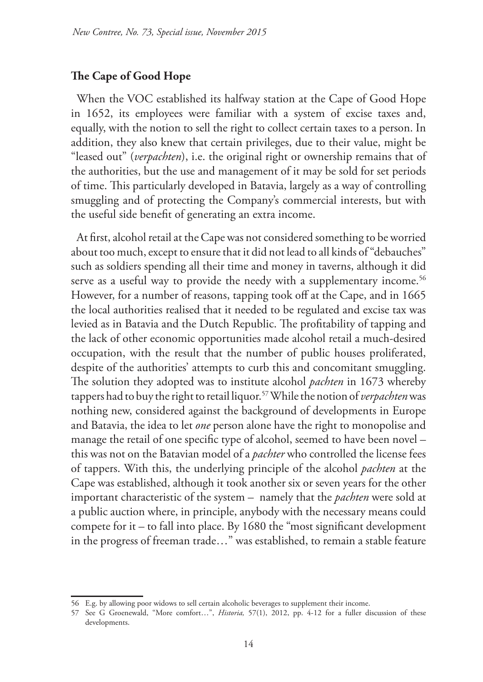#### **The Cape of Good Hope**

When the VOC established its halfway station at the Cape of Good Hope in 1652, its employees were familiar with a system of excise taxes and, equally, with the notion to sell the right to collect certain taxes to a person. In addition, they also knew that certain privileges, due to their value, might be "leased out" (*verpachten*), i.e. the original right or ownership remains that of the authorities, but the use and management of it may be sold for set periods of time. This particularly developed in Batavia, largely as a way of controlling smuggling and of protecting the Company's commercial interests, but with the useful side benefit of generating an extra income.

At first, alcohol retail at the Cape was not considered something to be worried about too much, except to ensure that it did not lead to all kinds of "debauches" such as soldiers spending all their time and money in taverns, although it did serve as a useful way to provide the needy with a supplementary income.<sup>56</sup> However, for a number of reasons, tapping took off at the Cape, and in 1665 the local authorities realised that it needed to be regulated and excise tax was levied as in Batavia and the Dutch Republic. The profitability of tapping and the lack of other economic opportunities made alcohol retail a much-desired occupation, with the result that the number of public houses proliferated, despite of the authorities' attempts to curb this and concomitant smuggling. The solution they adopted was to institute alcohol *pachten* in 1673 whereby tappers had to buy the right to retail liquor.57 While the notion of *verpachten* was nothing new, considered against the background of developments in Europe and Batavia, the idea to let *one* person alone have the right to monopolise and manage the retail of one specific type of alcohol, seemed to have been novel – this was not on the Batavian model of a *pachter* who controlled the license fees of tappers. With this, the underlying principle of the alcohol *pachten* at the Cape was established, although it took another six or seven years for the other important characteristic of the system – namely that the *pachten* were sold at a public auction where, in principle, anybody with the necessary means could compete for it – to fall into place. By 1680 the "most significant development in the progress of freeman trade…" was established, to remain a stable feature

<sup>56</sup> E.g. by allowing poor widows to sell certain alcoholic beverages to supplement their income.

<sup>57</sup> See G Groenewald, "More comfort…", *Historia,* 57(1), 2012, pp. 4-12 for a fuller discussion of these developments.